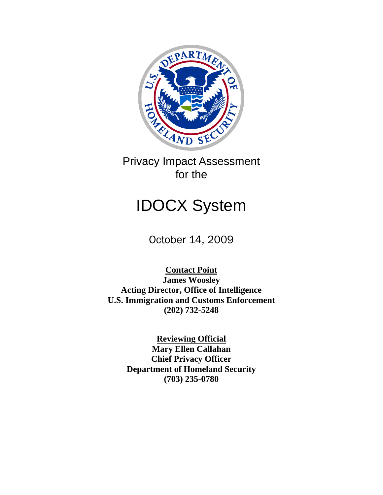

Privacy Impact Assessment for the

# IDOCX System

October 14, 2009

**Contact Point James Woosley Acting Director, Office of Intelligence U.S. Immigration and Customs Enforcement (202) 732-5248**

> **Reviewing Official Mary Ellen Callahan Chief Privacy Officer Department of Homeland Security (703) 235-0780**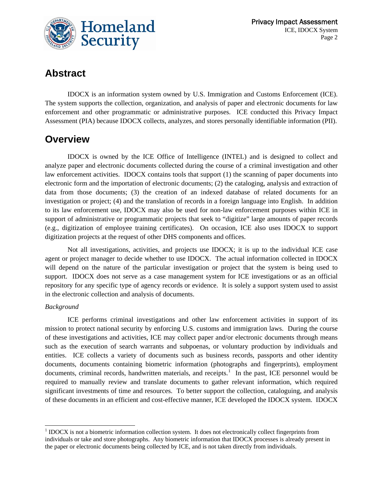

# **Abstract**

IDOCX is an information system owned by U.S. Immigration and Customs Enforcement (ICE). The system supports the collection, organization, and analysis of paper and electronic documents for law enforcement and other programmatic or administrative purposes. ICE conducted this Privacy Impact Assessment (PIA) because IDOCX collects, analyzes, and stores personally identifiable information (PII).

### **Overview**

IDOCX is owned by the ICE Office of Intelligence (INTEL) and is designed to collect and analyze paper and electronic documents collected during the course of a criminal investigation and other law enforcement activities. IDOCX contains tools that support (1) the scanning of paper documents into electronic form and the importation of electronic documents; (2) the cataloging, analysis and extraction of data from those documents; (3) the creation of an indexed database of related documents for an investigation or project; (4) and the translation of records in a foreign language into English. In addition to its law enforcement use, IDOCX may also be used for non-law enforcement purposes within ICE in support of administrative or programmatic projects that seek to "digitize" large amounts of paper records (e.g., digitization of employee training certificates). On occasion, ICE also uses IDOCX to support digitization projects at the request of other DHS components and offices.

Not all investigations, activities, and projects use IDOCX; it is up to the individual ICE case agent or project manager to decide whether to use IDOCX. The actual information collected in IDOCX will depend on the nature of the particular investigation or project that the system is being used to support. IDOCX does not serve as a case management system for ICE investigations or as an official repository for any specific type of agency records or evidence. It is solely a support system used to assist in the electronic collection and analysis of documents.

#### *Background*

l

ICE performs criminal investigations and other law enforcement activities in support of its mission to protect national security by enforcing U.S. customs and immigration laws. During the course of these investigations and activities, ICE may collect paper and/or electronic documents through means such as the execution of search warrants and subpoenas, or voluntary production by individuals and entities. ICE collects a variety of documents such as business records, passports and other identity documents, documents containing biometric information (photographs and fingerprints), employment documents, criminal records, handwritten materials, and receipts.<sup>[1](#page-1-0)</sup> In the past, ICE personnel would be required to manually review and translate documents to gather relevant information, which required significant investments of time and resources. To better support the collection, cataloguing, and analysis of these documents in an efficient and cost-effective manner, ICE developed the IDOCX system. IDOCX

<span id="page-1-0"></span> $1$  IDOCX is not a biometric information collection system. It does not electronically collect fingerprints from individuals or take and store photographs. Any biometric information that IDOCX processes is already present in the paper or electronic documents being collected by ICE, and is not taken directly from individuals.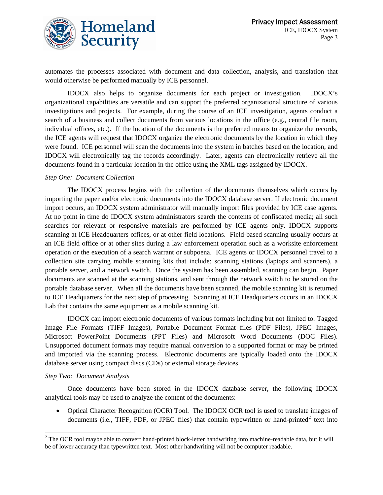

automates the processes associated with document and data collection, analysis, and translation that would otherwise be performed manually by ICE personnel.

IDOCX also helps to organize documents for each project or investigation. IDOCX's organizational capabilities are versatile and can support the preferred organizational structure of various investigations and projects. For example, during the course of an ICE investigation, agents conduct a search of a business and collect documents from various locations in the office (e.g., central file room, individual offices, etc.). If the location of the documents is the preferred means to organize the records, the ICE agents will request that IDOCX organize the electronic documents by the location in which they were found. ICE personnel will scan the documents into the system in batches based on the location, and IDOCX will electronically tag the records accordingly. Later, agents can electronically retrieve all the documents found in a particular location in the office using the XML tags assigned by IDOCX.

#### *Step One: Document Collection*

The IDOCX process begins with the collection of the documents themselves which occurs by importing the paper and/or electronic documents into the IDOCX database server. If electronic document import occurs, an IDOCX system administrator will manually import files provided by ICE case agents. At no point in time do IDOCX system administrators search the contents of confiscated media; all such searches for relevant or responsive materials are performed by ICE agents only. IDOCX supports scanning at ICE Headquarters offices, or at other field locations. Field-based scanning usually occurs at an ICE field office or at other sites during a law enforcement operation such as a worksite enforcement operation or the execution of a search warrant or subpoena. ICE agents or IDOCX personnel travel to a collection site carrying mobile scanning kits that include: scanning stations (laptops and scanners), a portable server, and a network switch. Once the system has been assembled, scanning can begin. Paper documents are scanned at the scanning stations, and sent through the network switch to be stored on the portable database server. When all the documents have been scanned, the mobile scanning kit is returned to ICE Headquarters for the next step of processing. Scanning at ICE Headquarters occurs in an IDOCX Lab that contains the same equipment as a mobile scanning kit.

IDOCX can import electronic documents of various formats including but not limited to: Tagged Image File Formats (TIFF Images), Portable Document Format files (PDF Files), JPEG Images, Microsoft PowerPoint Documents (PPT Files) and Microsoft Word Documents (DOC Files). Unsupported document formats may require manual conversion to a supported format or may be printed and imported via the scanning process. Electronic documents are typically loaded onto the IDOCX database server using compact discs (CDs) or external storage devices.

#### *Step Two: Document Analysis*

 $\overline{a}$ 

Once documents have been stored in the IDOCX database server, the following IDOCX analytical tools may be used to analyze the content of the documents:

• Optical Character Recognition (OCR) Tool. The IDOCX OCR tool is used to translate images of documents (i.e., TIFF, PDF, or JPEG files) that contain typewritten or hand-printed<sup>[2](#page-2-0)</sup> text into

<span id="page-2-0"></span> $2^2$  The OCR tool maybe able to convert hand-printed block-letter handwriting into machine-readable data, but it will be of lower accuracy than typewritten text. Most other handwriting will not be computer readable.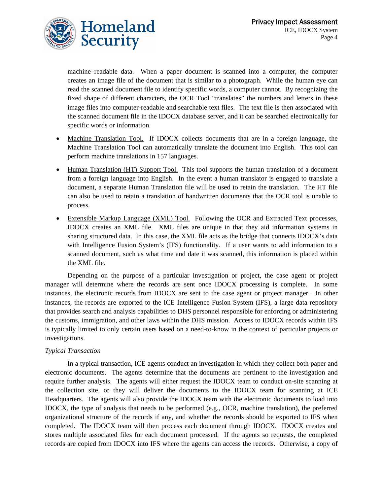

machine–readable data. When a paper document is scanned into a computer, the computer creates an image file of the document that is similar to a photograph. While the human eye can read the scanned document file to identify specific words, a computer cannot. By recognizing the fixed shape of different characters, the OCR Tool "translates" the numbers and letters in these image files into computer-readable and searchable text files. The text file is then associated with the scanned document file in the IDOCX database server, and it can be searched electronically for specific words or information.

- Machine Translation Tool. If IDOCX collects documents that are in a foreign language, the Machine Translation Tool can automatically translate the document into English. This tool can perform machine translations in 157 languages.
- Human Translation (HT) Support Tool. This tool supports the human translation of a document from a foreign language into English. In the event a human translator is engaged to translate a document, a separate Human Translation file will be used to retain the translation. The HT file can also be used to retain a translation of handwritten documents that the OCR tool is unable to process.
- Extensible Markup Language (XML) Tool. Following the OCR and Extracted Text processes, IDOCX creates an XML file. XML files are unique in that they aid information systems in sharing structured data. In this case, the XML file acts as the bridge that connects IDOCX's data with Intelligence Fusion System's (IFS) functionality. If a user wants to add information to a scanned document, such as what time and date it was scanned, this information is placed within the XML file.

Depending on the purpose of a particular investigation or project, the case agent or project manager will determine where the records are sent once IDOCX processing is complete. In some instances, the electronic records from IDOCX are sent to the case agent or project manager. In other instances, the records are exported to the ICE Intelligence Fusion System (IFS), a large data repository that provides search and analysis capabilities to DHS personnel responsible for enforcing or administering the customs, immigration, and other laws within the DHS mission. Access to IDOCX records within IFS is typically limited to only certain users based on a need-to-know in the context of particular projects or investigations.

#### *Typical Transaction*

In a typical transaction, ICE agents conduct an investigation in which they collect both paper and electronic documents. The agents determine that the documents are pertinent to the investigation and require further analysis. The agents will either request the IDOCX team to conduct on-site scanning at the collection site, or they will deliver the documents to the IDOCX team for scanning at ICE Headquarters. The agents will also provide the IDOCX team with the electronic documents to load into IDOCX, the type of analysis that needs to be performed (e.g., OCR, machine translation), the preferred organizational structure of the records if any, and whether the records should be exported to IFS when completed. The IDOCX team will then process each document through IDOCX. IDOCX creates and stores multiple associated files for each document processed. If the agents so requests, the completed records are copied from IDOCX into IFS where the agents can access the records. Otherwise, a copy of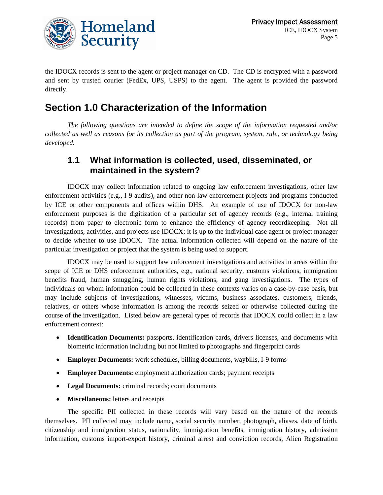

the IDOCX records is sent to the agent or project manager on CD. The CD is encrypted with a password and sent by trusted courier (FedEx, UPS, USPS) to the agent. The agent is provided the password directly.

# **Section 1.0 Characterization of the Information**

*The following questions are intended to define the scope of the information requested and/or collected as well as reasons for its collection as part of the program, system, rule, or technology being developed.* 

#### **1.1 What information is collected, used, disseminated, or maintained in the system?**

IDOCX may collect information related to ongoing law enforcement investigations, other law enforcement activities (e.g., I-9 audits), and other non-law enforcement projects and programs conducted by ICE or other components and offices within DHS. An example of use of IDOCX for non-law enforcement purposes is the digitization of a particular set of agency records (e.g., internal training records) from paper to electronic form to enhance the efficiency of agency recordkeeping. Not all investigations, activities, and projects use IDOCX; it is up to the individual case agent or project manager to decide whether to use IDOCX. The actual information collected will depend on the nature of the particular investigation or project that the system is being used to support.

IDOCX may be used to support law enforcement investigations and activities in areas within the scope of ICE or DHS enforcement authorities, e.g., national security, customs violations, immigration benefits fraud, human smuggling, human rights violations, and gang investigations. The types of individuals on whom information could be collected in these contexts varies on a case-by-case basis, but may include subjects of investigations, witnesses, victims, business associates, customers, friends, relatives, or others whose information is among the records seized or otherwise collected during the course of the investigation. Listed below are general types of records that IDOCX could collect in a law enforcement context:

- **Identification Documents:** passports, identification cards, drivers licenses, and documents with biometric information including but not limited to photographs and fingerprint cards
- **Employer Documents:** work schedules, billing documents, waybills, I-9 forms
- **Employee Documents:** employment authorization cards; payment receipts
- **Legal Documents:** criminal records; court documents
- **Miscellaneous:** letters and receipts

The specific PII collected in these records will vary based on the nature of the records themselves. PII collected may include name, social security number, photograph, aliases, date of birth, citizenship and immigration status, nationality, immigration benefits, immigration history, admission information, customs import-export history, criminal arrest and conviction records, Alien Registration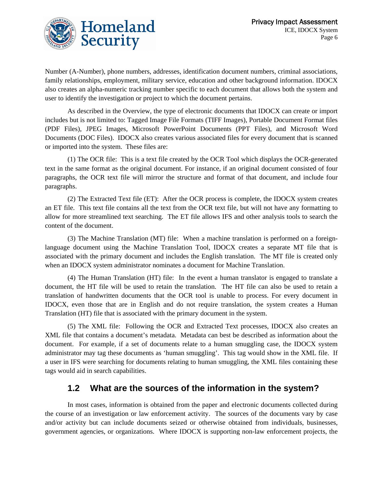

Number (A-Number), phone numbers, addresses, identification document numbers, criminal associations, family relationships, employment, military service, education and other background information. IDOCX also creates an alpha-numeric tracking number specific to each document that allows both the system and user to identify the investigation or project to which the document pertains.

As described in the Overview, the type of electronic documents that IDOCX can create or import includes but is not limited to: Tagged Image File Formats (TIFF Images), Portable Document Format files (PDF Files), JPEG Images, Microsoft PowerPoint Documents (PPT Files), and Microsoft Word Documents (DOC Files). IDOCX also creates various associated files for every document that is scanned or imported into the system. These files are:

(1) The OCR file: This is a text file created by the OCR Tool which displays the OCR-generated text in the same format as the original document. For instance, if an original document consisted of four paragraphs, the OCR text file will mirror the structure and format of that document, and include four paragraphs.

(2) The Extracted Text file (ET): After the OCR process is complete, the IDOCX system creates an ET file. This text file contains all the text from the OCR text file, but will not have any formatting to allow for more streamlined text searching. The ET file allows IFS and other analysis tools to search the content of the document.

(3) The Machine Translation (MT) file: When a machine translation is performed on a foreignlanguage document using the Machine Translation Tool, IDOCX creates a separate MT file that is associated with the primary document and includes the English translation. The MT file is created only when an IDOCX system administrator nominates a document for Machine Translation.

(4) The Human Translation (HT) file: In the event a human translator is engaged to translate a document, the HT file will be used to retain the translation. The HT file can also be used to retain a translation of handwritten documents that the OCR tool is unable to process. For every document in IDOCX, even those that are in English and do not require translation, the system creates a Human Translation (HT) file that is associated with the primary document in the system.

(5) The XML file: Following the OCR and Extracted Text processes, IDOCX also creates an XML file that contains a document's metadata. Metadata can best be described as information about the document. For example, if a set of documents relate to a human smuggling case, the IDOCX system administrator may tag these documents as 'human smuggling'. This tag would show in the XML file. If a user in IFS were searching for documents relating to human smuggling, the XML files containing these tags would aid in search capabilities.

#### **1.2 What are the sources of the information in the system?**

In most cases, information is obtained from the paper and electronic documents collected during the course of an investigation or law enforcement activity. The sources of the documents vary by case and/or activity but can include documents seized or otherwise obtained from individuals, businesses, government agencies, or organizations. Where IDOCX is supporting non-law enforcement projects, the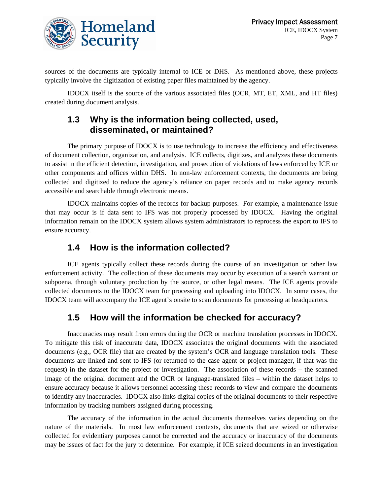

sources of the documents are typically internal to ICE or DHS. As mentioned above, these projects typically involve the digitization of existing paper files maintained by the agency.

 IDOCX itself is the source of the various associated files (OCR, MT, ET, XML, and HT files) created during document analysis.

#### **1.3 Why is the information being collected, used, disseminated, or maintained?**

The primary purpose of IDOCX is to use technology to increase the efficiency and effectiveness of document collection, organization, and analysis. ICE collects, digitizes, and analyzes these documents to assist in the efficient detection, investigation, and prosecution of violations of laws enforced by ICE or other components and offices within DHS. In non-law enforcement contexts, the documents are being collected and digitized to reduce the agency's reliance on paper records and to make agency records accessible and searchable through electronic means.

IDOCX maintains copies of the records for backup purposes. For example, a maintenance issue that may occur is if data sent to IFS was not properly processed by IDOCX. Having the original information remain on the IDOCX system allows system administrators to reprocess the export to IFS to ensure accuracy.

#### **1.4 How is the information collected?**

ICE agents typically collect these records during the course of an investigation or other law enforcement activity. The collection of these documents may occur by execution of a search warrant or subpoena, through voluntary production by the source, or other legal means. The ICE agents provide collected documents to the IDOCX team for processing and uploading into IDOCX. In some cases, the IDOCX team will accompany the ICE agent's onsite to scan documents for processing at headquarters.

### **1.5 How will the information be checked for accuracy?**

Inaccuracies may result from errors during the OCR or machine translation processes in IDOCX. To mitigate this risk of inaccurate data, IDOCX associates the original documents with the associated documents (e.g., OCR file) that are created by the system's OCR and language translation tools. These documents are linked and sent to IFS (or returned to the case agent or project manager, if that was the request) in the dataset for the project or investigation. The association of these records – the scanned image of the original document and the OCR or language-translated files – within the dataset helps to ensure accuracy because it allows personnel accessing these records to view and compare the documents to identify any inaccuracies. IDOCX also links digital copies of the original documents to their respective information by tracking numbers assigned during processing.

The accuracy of the information in the actual documents themselves varies depending on the nature of the materials. In most law enforcement contexts, documents that are seized or otherwise collected for evidentiary purposes cannot be corrected and the accuracy or inaccuracy of the documents may be issues of fact for the jury to determine. For example, if ICE seized documents in an investigation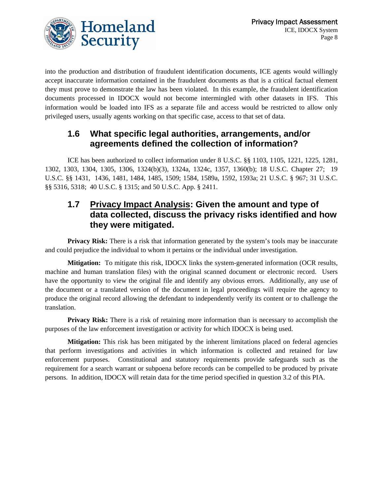

into the production and distribution of fraudulent identification documents, ICE agents would willingly accept inaccurate information contained in the fraudulent documents as that is a critical factual element they must prove to demonstrate the law has been violated. In this example, the fraudulent identification documents processed in IDOCX would not become intermingled with other datasets in IFS. This information would be loaded into IFS as a separate file and access would be restricted to allow only privileged users, usually agents working on that specific case, access to that set of data.

#### **1.6 What specific legal authorities, arrangements, and/or agreements defined the collection of information?**

ICE has been authorized to collect information under 8 U.S.C. §§ 1103, 1105, 1221, 1225, 1281, 1302, 1303, 1304, 1305, 1306, 1324(b)(3), 1324a, 1324c, 1357, 1360(b); 18 U.S.C. Chapter 27; 19 U.S.C. §§ 1431, 1436, 1481, 1484, 1485, 1509; 1584, 1589a, 1592, 1593a; 21 U.S.C. § 967; 31 U.S.C. §§ 5316, 5318; 40 U.S.C. § 1315; and 50 U.S.C. App. § 2411.

#### **1.7 Privacy Impact Analysis: Given the amount and type of data collected, discuss the privacy risks identified and how they were mitigated.**

**Privacy Risk:** There is a risk that information generated by the system's tools may be inaccurate and could prejudice the individual to whom it pertains or the individual under investigation.

**Mitigation:** To mitigate this risk, IDOCX links the system-generated information (OCR results, machine and human translation files) with the original scanned document or electronic record. Users have the opportunity to view the original file and identify any obvious errors. Additionally, any use of the document or a translated version of the document in legal proceedings will require the agency to produce the original record allowing the defendant to independently verify its content or to challenge the translation.

**Privacy Risk:** There is a risk of retaining more information than is necessary to accomplish the purposes of the law enforcement investigation or activity for which IDOCX is being used.

**Mitigation:** This risk has been mitigated by the inherent limitations placed on federal agencies that perform investigations and activities in which information is collected and retained for law enforcement purposes. Constitutional and statutory requirements provide safeguards such as the requirement for a search warrant or subpoena before records can be compelled to be produced by private persons. In addition, IDOCX will retain data for the time period specified in question 3.2 of this PIA.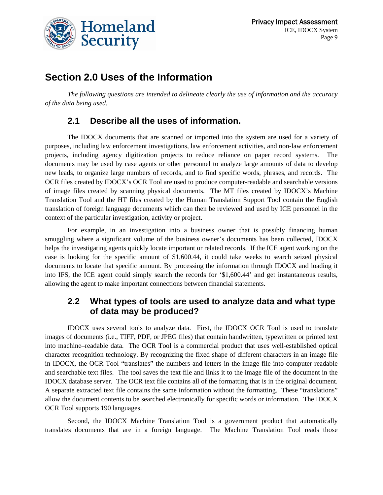

# **Section 2.0 Uses of the Information**

*The following questions are intended to delineate clearly the use of information and the accuracy of the data being used.* 

#### **2.1 Describe all the uses of information.**

The IDOCX documents that are scanned or imported into the system are used for a variety of purposes, including law enforcement investigations, law enforcement activities, and non-law enforcement projects, including agency digitization projects to reduce reliance on paper record systems. The documents may be used by case agents or other personnel to analyze large amounts of data to develop new leads, to organize large numbers of records, and to find specific words, phrases, and records. The OCR files created by IDOCX's OCR Tool are used to produce computer-readable and searchable versions of image files created by scanning physical documents. The MT files created by IDOCX's Machine Translation Tool and the HT files created by the Human Translation Support Tool contain the English translation of foreign language documents which can then be reviewed and used by ICE personnel in the context of the particular investigation, activity or project.

For example, in an investigation into a business owner that is possibly financing human smuggling where a significant volume of the business owner's documents has been collected, IDOCX helps the investigating agents quickly locate important or related records. If the ICE agent working on the case is looking for the specific amount of \$1,600.44, it could take weeks to search seized physical documents to locate that specific amount. By processing the information through IDOCX and loading it into IFS, the ICE agent could simply search the records for '\$1,600.44' and get instantaneous results, allowing the agent to make important connections between financial statements.

#### **2.2 What types of tools are used to analyze data and what type of data may be produced?**

IDOCX uses several tools to analyze data. First, the IDOCX OCR Tool is used to translate images of documents (i.e., TIFF, PDF, or JPEG files) that contain handwritten, typewritten or printed text into machine–readable data. The OCR Tool is a commercial product that uses well-established optical character recognition technology. By recognizing the fixed shape of different characters in an image file in IDOCX, the OCR Tool "translates" the numbers and letters in the image file into computer-readable and searchable text files. The tool saves the text file and links it to the image file of the document in the IDOCX database server. The OCR text file contains all of the formatting that is in the original document. A separate extracted text file contains the same information without the formatting. These "translations" allow the document contents to be searched electronically for specific words or information. The IDOCX OCR Tool supports 190 languages.

Second, the IDOCX Machine Translation Tool is a government product that automatically translates documents that are in a foreign language. The Machine Translation Tool reads those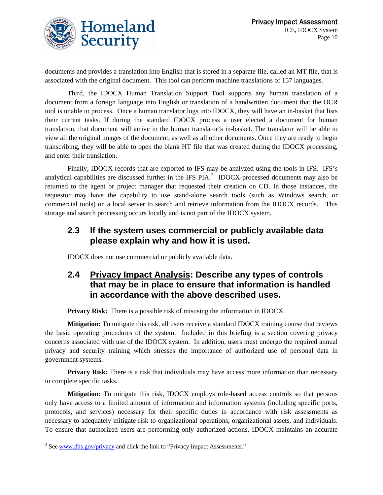

documents and provides a translation into English that is stored in a separate file, called an MT file, that is associated with the original document. This tool can perform machine translations of 157 languages.

Third, the IDOCX Human Translation Support Tool supports any human translation of a document from a foreign language into English or translation of a handwritten document that the OCR tool is unable to process. Once a human translator logs into IDOCX, they will have an in-basket that lists their current tasks. If during the standard IDOCX process a user elected a document for human translation, that document will arrive in the human translator's in-basket. The translator will be able to view all the original images of the document, as well as all other documents. Once they are ready to begin transcribing, they will be able to open the blank HT file that was created during the IDOCX processing, and enter their translation.

Finally, IDOCX records that are exported to IFS may be analyzed using the tools in IFS. IFS's analytical capabilities are discussed further in the IFS  $PIA$ .<sup>[3](#page-9-0)</sup> IDOCX-processed documents may also be returned to the agent or project manager that requested their creation on CD. In those instances, the requestor may have the capability to use stand-alone search tools (such as Windows search, or commercial tools) on a local server to search and retrieve information from the IDOCX records. This storage and search processing occurs locally and is not part of the IDOCX system.

#### **2.3 If the system uses commercial or publicly available data please explain why and how it is used.**

IDOCX does not use commercial or publicly available data.

#### **2.4 Privacy Impact Analysis: Describe any types of controls that may be in place to ensure that information is handled in accordance with the above described uses.**

**Privacy Risk:** There is a possible risk of misusing the information in IDOCX.

**Mitigation:** To mitigate this risk, all users receive a standard IDOCX training course that reviews the basic operating procedures of the system. Included in this briefing is a section covering privacy concerns associated with use of the IDOCX system. In addition, users must undergo the required annual privacy and security training which stresses the importance of authorized use of personal data in government systems.

**Privacy Risk:** There is a risk that individuals may have access more information than necessary to complete specific tasks.

**Mitigation:** To mitigate this risk, IDOCX employs role-based access controls so that persons only have access to a limited amount of information and information systems (including specific ports, protocols, and services) necessary for their specific duties in accordance with risk assessments as necessary to adequately mitigate risk to organizational operations, organizational assets, and individuals. To ensure that authorized users are performing only authorized actions, IDOCX maintains an accurate

<span id="page-9-0"></span> $\overline{a}$ <sup>3</sup> See [www.dhs.gov/privacy](http://www.dhs.gov/privacy) and click the link to "Privacy Impact Assessments."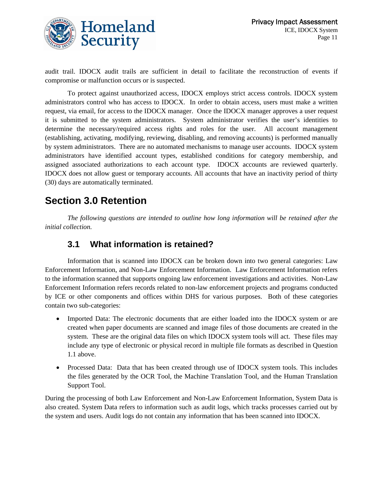

audit trail. IDOCX audit trails are sufficient in detail to facilitate the reconstruction of events if compromise or malfunction occurs or is suspected.

To protect against unauthorized access, IDOCX employs strict access controls. IDOCX system administrators control who has access to IDOCX. In order to obtain access, users must make a written request, via email, for access to the IDOCX manager. Once the IDOCX manager approves a user request it is submitted to the system administrators. System administrator verifies the user's identities to determine the necessary/required access rights and roles for the user. All account management (establishing, activating, modifying, reviewing, disabling, and removing accounts) is performed manually by system administrators. There are no automated mechanisms to manage user accounts. IDOCX system administrators have identified account types, established conditions for category membership, and assigned associated authorizations to each account type. IDOCX accounts are reviewed quarterly. IDOCX does not allow guest or temporary accounts. All accounts that have an inactivity period of thirty (30) days are automatically terminated.

# **Section 3.0 Retention**

*The following questions are intended to outline how long information will be retained after the initial collection.* 

#### **3.1 What information is retained?**

Information that is scanned into IDOCX can be broken down into two general categories: Law Enforcement Information, and Non-Law Enforcement Information. Law Enforcement Information refers to the information scanned that supports ongoing law enforcement investigations and activities. Non-Law Enforcement Information refers records related to non-law enforcement projects and programs conducted by ICE or other components and offices within DHS for various purposes. Both of these categories contain two sub-categories:

- Imported Data: The electronic documents that are either loaded into the IDOCX system or are created when paper documents are scanned and image files of those documents are created in the system. These are the original data files on which IDOCX system tools will act. These files may include any type of electronic or physical record in multiple file formats as described in Question 1.1 above.
- Processed Data: Data that has been created through use of IDOCX system tools. This includes the files generated by the OCR Tool, the Machine Translation Tool, and the Human Translation Support Tool.

During the processing of both Law Enforcement and Non-Law Enforcement Information, System Data is also created. System Data refers to information such as audit logs, which tracks processes carried out by the system and users. Audit logs do not contain any information that has been scanned into IDOCX.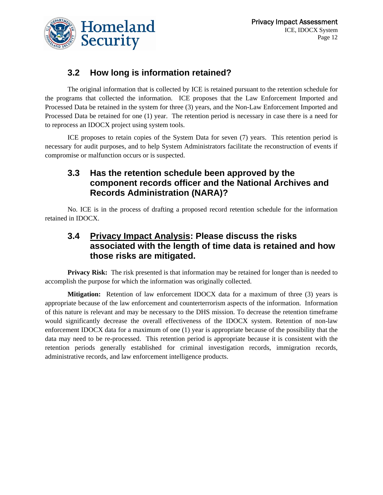

### **3.2 How long is information retained?**

The original information that is collected by ICE is retained pursuant to the retention schedule for the programs that collected the information. ICE proposes that the Law Enforcement Imported and Processed Data be retained in the system for three (3) years, and the Non-Law Enforcement Imported and Processed Data be retained for one (1) year. The retention period is necessary in case there is a need for to reprocess an IDOCX project using system tools.

ICE proposes to retain copies of the System Data for seven (7) years. This retention period is necessary for audit purposes, and to help System Administrators facilitate the reconstruction of events if compromise or malfunction occurs or is suspected.

#### **3.3 Has the retention schedule been approved by the component records officer and the National Archives and Records Administration (NARA)?**

No. ICE is in the process of drafting a proposed record retention schedule for the information retained in IDOCX.

#### **3.4 Privacy Impact Analysis: Please discuss the risks associated with the length of time data is retained and how those risks are mitigated.**

**Privacy Risk:** The risk presented is that information may be retained for longer than is needed to accomplish the purpose for which the information was originally collected.

**Mitigation:** Retention of law enforcement IDOCX data for a maximum of three (3) years is appropriate because of the law enforcement and counterterrorism aspects of the information. Information of this nature is relevant and may be necessary to the DHS mission. To decrease the retention timeframe would significantly decrease the overall effectiveness of the IDOCX system. Retention of non-law enforcement IDOCX data for a maximum of one (1) year is appropriate because of the possibility that the data may need to be re-processed. This retention period is appropriate because it is consistent with the retention periods generally established for criminal investigation records, immigration records, administrative records, and law enforcement intelligence products.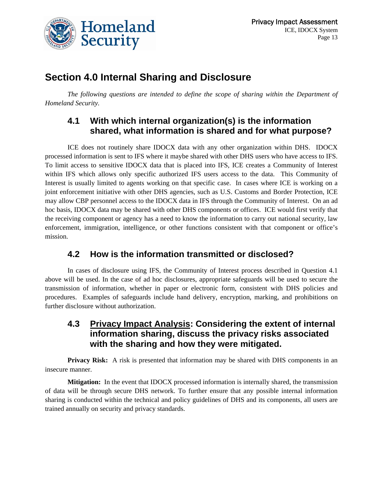

## **Section 4.0 Internal Sharing and Disclosure**

*The following questions are intended to define the scope of sharing within the Department of Homeland Security.* 

#### **4.1 With which internal organization(s) is the information shared, what information is shared and for what purpose?**

ICE does not routinely share IDOCX data with any other organization within DHS. IDOCX processed information is sent to IFS where it maybe shared with other DHS users who have access to IFS. To limit access to sensitive IDOCX data that is placed into IFS, ICE creates a Community of Interest within IFS which allows only specific authorized IFS users access to the data. This Community of Interest is usually limited to agents working on that specific case. In cases where ICE is working on a joint enforcement initiative with other DHS agencies, such as U.S. Customs and Border Protection, ICE may allow CBP personnel access to the IDOCX data in IFS through the Community of Interest. On an ad hoc basis, IDOCX data may be shared with other DHS components or offices. ICE would first verify that the receiving component or agency has a need to know the information to carry out national security, law enforcement, immigration, intelligence, or other functions consistent with that component or office's mission.

#### **4.2 How is the information transmitted or disclosed?**

In cases of disclosure using IFS, the Community of Interest process described in Question 4.1 above will be used. In the case of ad hoc disclosures, appropriate safeguards will be used to secure the transmission of information, whether in paper or electronic form, consistent with DHS policies and procedures. Examples of safeguards include hand delivery, encryption, marking, and prohibitions on further disclosure without authorization.

#### **4.3 Privacy Impact Analysis: Considering the extent of internal information sharing, discuss the privacy risks associated with the sharing and how they were mitigated.**

Privacy Risk: A risk is presented that information may be shared with DHS components in an insecure manner.

**Mitigation:** In the event that IDOCX processed information is internally shared, the transmission of data will be through secure DHS network. To further ensure that any possible internal information sharing is conducted within the technical and policy guidelines of DHS and its components, all users are trained annually on security and privacy standards.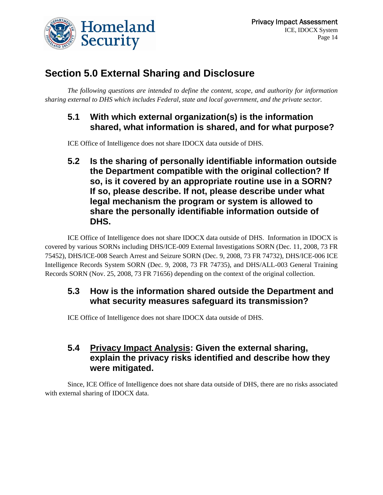

# **Section 5.0 External Sharing and Disclosure**

*The following questions are intended to define the content, scope, and authority for information sharing external to DHS which includes Federal, state and local government, and the private sector.* 

#### **5.1 With which external organization(s) is the information shared, what information is shared, and for what purpose?**

ICE Office of Intelligence does not share IDOCX data outside of DHS.

**5.2 Is the sharing of personally identifiable information outside the Department compatible with the original collection? If so, is it covered by an appropriate routine use in a SORN? If so, please describe. If not, please describe under what legal mechanism the program or system is allowed to share the personally identifiable information outside of DHS.** 

ICE Office of Intelligence does not share IDOCX data outside of DHS. Information in IDOCX is covered by various SORNs including DHS/ICE-009 External Investigations SORN (Dec. 11, 2008, 73 FR 75452), DHS/ICE-008 Search Arrest and Seizure SORN (Dec. 9, 2008, 73 FR 74732), DHS/ICE-006 ICE Intelligence Records System SORN (Dec. 9, 2008, 73 FR 74735), and DHS/ALL-003 General Training Records SORN (Nov. 25, 2008, 73 FR 71656) depending on the context of the original collection.

#### **5.3 How is the information shared outside the Department and what security measures safeguard its transmission?**

ICE Office of Intelligence does not share IDOCX data outside of DHS.

#### **5.4 Privacy Impact Analysis: Given the external sharing, explain the privacy risks identified and describe how they were mitigated.**

Since, ICE Office of Intelligence does not share data outside of DHS, there are no risks associated with external sharing of IDOCX data.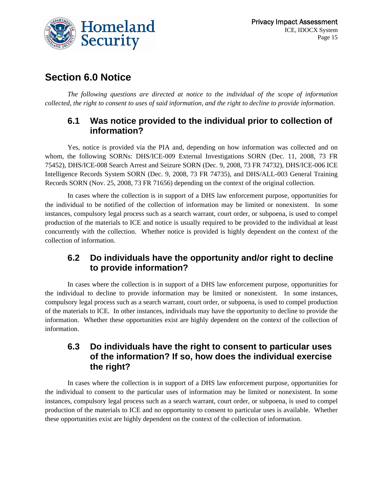

# **Section 6.0 Notice**

*The following questions are directed at notice to the individual of the scope of information collected, the right to consent to uses of said information, and the right to decline to provide information.* 

#### **6.1 Was notice provided to the individual prior to collection of information?**

Yes, notice is provided via the PIA and, depending on how information was collected and on whom, the following SORNs: DHS/ICE-009 External Investigations SORN (Dec. 11, 2008, 73 FR 75452), DHS/ICE-008 Search Arrest and Seizure SORN (Dec. 9, 2008, 73 FR 74732), DHS/ICE-006 ICE Intelligence Records System SORN (Dec. 9, 2008, 73 FR 74735), and DHS/ALL-003 General Training Records SORN (Nov. 25, 2008, 73 FR 71656) depending on the context of the original collection.

In cases where the collection is in support of a DHS law enforcement purpose, opportunities for the individual to be notified of the collection of information may be limited or nonexistent. In some instances, compulsory legal process such as a search warrant, court order, or subpoena, is used to compel production of the materials to ICE and notice is usually required to be provided to the individual at least concurrently with the collection. Whether notice is provided is highly dependent on the context of the collection of information.

#### **6.2 Do individuals have the opportunity and/or right to decline to provide information?**

In cases where the collection is in support of a DHS law enforcement purpose, opportunities for the individual to decline to provide information may be limited or nonexistent. In some instances, compulsory legal process such as a search warrant, court order, or subpoena, is used to compel production of the materials to ICE. In other instances, individuals may have the opportunity to decline to provide the information. Whether these opportunities exist are highly dependent on the context of the collection of information.

#### **6.3 Do individuals have the right to consent to particular uses of the information? If so, how does the individual exercise the right?**

In cases where the collection is in support of a DHS law enforcement purpose, opportunities for the individual to consent to the particular uses of information may be limited or nonexistent. In some instances, compulsory legal process such as a search warrant, court order, or subpoena, is used to compel production of the materials to ICE and no opportunity to consent to particular uses is available. Whether these opportunities exist are highly dependent on the context of the collection of information.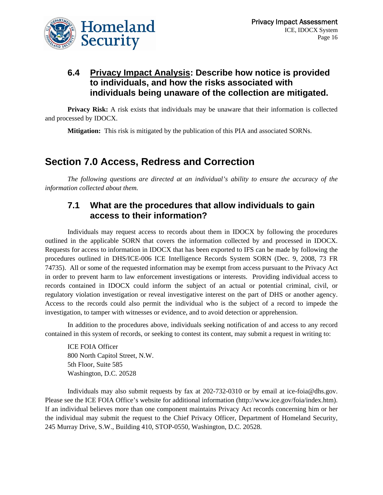

#### **6.4 Privacy Impact Analysis: Describe how notice is provided to individuals, and how the risks associated with individuals being unaware of the collection are mitigated.**

**Privacy Risk:** A risk exists that individuals may be unaware that their information is collected and processed by IDOCX.

**Mitigation:** This risk is mitigated by the publication of this PIA and associated SORNs.

# **Section 7.0 Access, Redress and Correction**

*The following questions are directed at an individual's ability to ensure the accuracy of the information collected about them.* 

#### **7.1 What are the procedures that allow individuals to gain access to their information?**

Individuals may request access to records about them in IDOCX by following the procedures outlined in the applicable SORN that covers the information collected by and processed in IDOCX. Requests for access to information in IDOCX that has been exported to IFS can be made by following the procedures outlined in DHS/ICE-006 ICE Intelligence Records System SORN (Dec. 9, 2008, 73 FR 74735). All or some of the requested information may be exempt from access pursuant to the Privacy Act in order to prevent harm to law enforcement investigations or interests. Providing individual access to records contained in IDOCX could inform the subject of an actual or potential criminal, civil, or regulatory violation investigation or reveal investigative interest on the part of DHS or another agency. Access to the records could also permit the individual who is the subject of a record to impede the investigation, to tamper with witnesses or evidence, and to avoid detection or apprehension.

In addition to the procedures above, individuals seeking notification of and access to any record contained in this system of records, or seeking to contest its content, may submit a request in writing to:

ICE FOIA Officer 800 North Capitol Street, N.W. 5th Floor, Suite 585 Washington, D.C. 20528

Individuals may also submit requests by fax at 202-732-0310 or by email at ice-foia@dhs.gov. Please see the ICE FOIA Office's website for additional information (http://www.ice.gov/foia/index.htm). If an individual believes more than one component maintains Privacy Act records concerning him or her the individual may submit the request to the Chief Privacy Officer, Department of Homeland Security, 245 Murray Drive, S.W., Building 410, STOP-0550, Washington, D.C. 20528.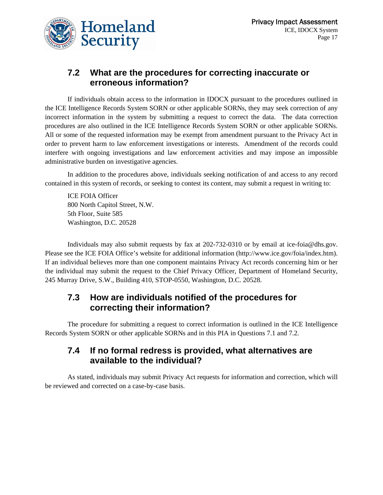

#### **7.2 What are the procedures for correcting inaccurate or erroneous information?**

If individuals obtain access to the information in IDOCX pursuant to the procedures outlined in the ICE Intelligence Records System SORN or other applicable SORNs, they may seek correction of any incorrect information in the system by submitting a request to correct the data. The data correction procedures are also outlined in the ICE Intelligence Records System SORN or other applicable SORNs. All or some of the requested information may be exempt from amendment pursuant to the Privacy Act in order to prevent harm to law enforcement investigations or interests. Amendment of the records could interfere with ongoing investigations and law enforcement activities and may impose an impossible administrative burden on investigative agencies.

In addition to the procedures above, individuals seeking notification of and access to any record contained in this system of records, or seeking to contest its content, may submit a request in writing to:

ICE FOIA Officer 800 North Capitol Street, N.W. 5th Floor, Suite 585 Washington, D.C. 20528

Individuals may also submit requests by fax at 202-732-0310 or by email at ice-foia@dhs.gov. Please see the ICE FOIA Office's website for additional information (http://www.ice.gov/foia/index.htm). If an individual believes more than one component maintains Privacy Act records concerning him or her the individual may submit the request to the Chief Privacy Officer, Department of Homeland Security, 245 Murray Drive, S.W., Building 410, STOP-0550, Washington, D.C. 20528.

#### **7.3 How are individuals notified of the procedures for correcting their information?**

The procedure for submitting a request to correct information is outlined in the ICE Intelligence Records System SORN or other applicable SORNs and in this PIA in Questions 7.1 and 7.2.

#### **7.4 If no formal redress is provided, what alternatives are available to the individual?**

As stated, individuals may submit Privacy Act requests for information and correction, which will be reviewed and corrected on a case-by-case basis.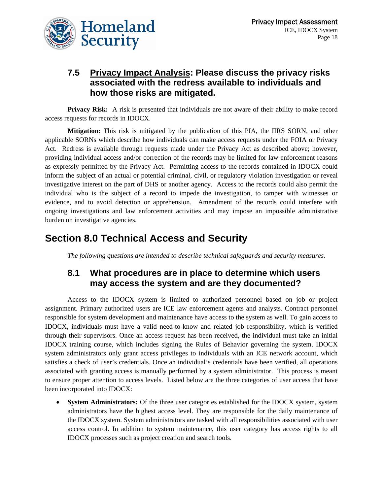### **7.5 Privacy Impact Analysis: Please discuss the privacy risks associated with the redress available to individuals and how those risks are mitigated.**

**Privacy Risk:** A risk is presented that individuals are not aware of their ability to make record access requests for records in IDOCX.

**Mitigation:** This risk is mitigated by the publication of this PIA, the IIRS SORN, and other applicable SORNs which describe how individuals can make access requests under the FOIA or Privacy Act. Redress is available through requests made under the Privacy Act as described above; however, providing individual access and/or correction of the records may be limited for law enforcement reasons as expressly permitted by the Privacy Act. Permitting access to the records contained in IDOCX could inform the subject of an actual or potential criminal, civil, or regulatory violation investigation or reveal investigative interest on the part of DHS or another agency. Access to the records could also permit the individual who is the subject of a record to impede the investigation, to tamper with witnesses or evidence, and to avoid detection or apprehension. Amendment of the records could interfere with ongoing investigations and law enforcement activities and may impose an impossible administrative burden on investigative agencies.

# **Section 8.0 Technical Access and Security**

*The following questions are intended to describe technical safeguards and security measures.* 

#### **8.1 What procedures are in place to determine which users may access the system and are they documented?**

Access to the IDOCX system is limited to authorized personnel based on job or project assignment. Primary authorized users are ICE law enforcement agents and analysts. Contract personnel responsible for system development and maintenance have access to the system as well. To gain access to IDOCX, individuals must have a valid need-to-know and related job responsibility, which is verified through their supervisors. Once an access request has been received, the individual must take an initial IDOCX training course, which includes signing the Rules of Behavior governing the system. IDOCX system administrators only grant access privileges to individuals with an ICE network account, which satisfies a check of user's credentials. Once an individual's credentials have been verified, all operations associated with granting access is manually performed by a system administrator. This process is meant to ensure proper attention to access levels. Listed below are the three categories of user access that have been incorporated into IDOCX:

• **System Administrators:** Of the three user categories established for the IDOCX system, system administrators have the highest access level. They are responsible for the daily maintenance of the IDOCX system. System administrators are tasked with all responsibilities associated with user access control. In addition to system maintenance, this user category has access rights to all IDOCX processes such as project creation and search tools.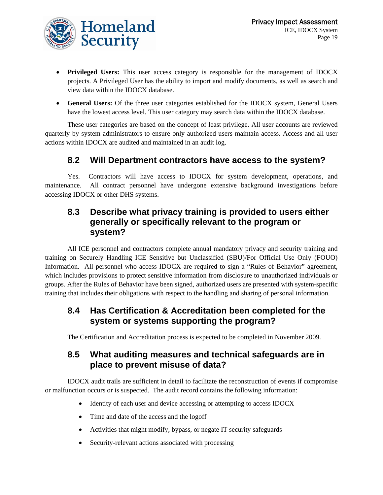

- **Privileged Users:** This user access category is responsible for the management of IDOCX projects. A Privileged User has the ability to import and modify documents, as well as search and view data within the IDOCX database.
- **General Users:** Of the three user categories established for the IDOCX system, General Users have the lowest access level. This user category may search data within the IDOCX database.

These user categories are based on the concept of least privilege. All user accounts are reviewed quarterly by system administrators to ensure only authorized users maintain access. Access and all user actions within IDOCX are audited and maintained in an audit log.

#### **8.2 Will Department contractors have access to the system?**

Yes. Contractors will have access to IDOCX for system development, operations, and maintenance. All contract personnel have undergone extensive background investigations before accessing IDOCX or other DHS systems.

#### **8.3 Describe what privacy training is provided to users either generally or specifically relevant to the program or system?**

All ICE personnel and contractors complete annual mandatory privacy and security training and training on Securely Handling ICE Sensitive but Unclassified (SBU)/For Official Use Only (FOUO) Information. All personnel who access IDOCX are required to sign a "Rules of Behavior" agreement, which includes provisions to protect sensitive information from disclosure to unauthorized individuals or groups. After the Rules of Behavior have been signed, authorized users are presented with system-specific training that includes their obligations with respect to the handling and sharing of personal information.

#### **8.4 Has Certification & Accreditation been completed for the system or systems supporting the program?**

The Certification and Accreditation process is expected to be completed in November 2009.

#### **8.5 What auditing measures and technical safeguards are in place to prevent misuse of data?**

IDOCX audit trails are sufficient in detail to facilitate the reconstruction of events if compromise or malfunction occurs or is suspected. The audit record contains the following information:

- Identity of each user and device accessing or attempting to access IDOCX
- Time and date of the access and the logoff
- Activities that might modify, bypass, or negate IT security safeguards
- Security-relevant actions associated with processing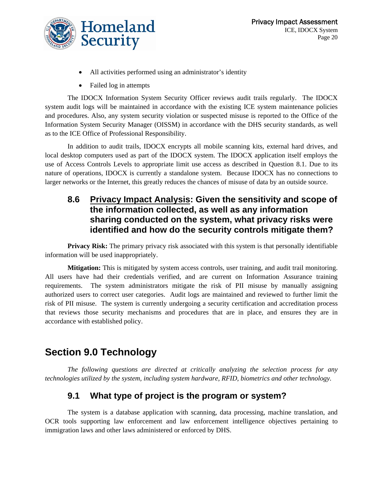

- All activities performed using an administrator's identity
- Failed log in attempts

The IDOCX Information System Security Officer reviews audit trails regularly. The IDOCX system audit logs will be maintained in accordance with the existing ICE system maintenance policies and procedures. Also, any system security violation or suspected misuse is reported to the Office of the Information System Security Manager (OISSM) in accordance with the DHS security standards, as well as to the ICE Office of Professional Responsibility.

In addition to audit trails, IDOCX encrypts all mobile scanning kits, external hard drives, and local desktop computers used as part of the IDOCX system. The IDOCX application itself employs the use of Access Controls Levels to appropriate limit use access as described in Question 8.1. Due to its nature of operations, IDOCX is currently a standalone system. Because IDOCX has no connections to larger networks or the Internet, this greatly reduces the chances of misuse of data by an outside source.

#### **8.6 Privacy Impact Analysis: Given the sensitivity and scope of the information collected, as well as any information sharing conducted on the system, what privacy risks were identified and how do the security controls mitigate them?**

**Privacy Risk:** The primary privacy risk associated with this system is that personally identifiable information will be used inappropriately.

**Mitigation:** This is mitigated by system access controls, user training, and audit trail monitoring. All users have had their credentials verified, and are current on Information Assurance training requirements. The system administrators mitigate the risk of PII misuse by manually assigning authorized users to correct user categories. Audit logs are maintained and reviewed to further limit the risk of PII misuse. The system is currently undergoing a security certification and accreditation process that reviews those security mechanisms and procedures that are in place, and ensures they are in accordance with established policy.

# **Section 9.0 Technology**

*The following questions are directed at critically analyzing the selection process for any technologies utilized by the system, including system hardware, RFID, biometrics and other technology.* 

### **9.1 What type of project is the program or system?**

The system is a database application with scanning, data processing, machine translation, and OCR tools supporting law enforcement and law enforcement intelligence objectives pertaining to immigration laws and other laws administered or enforced by DHS.